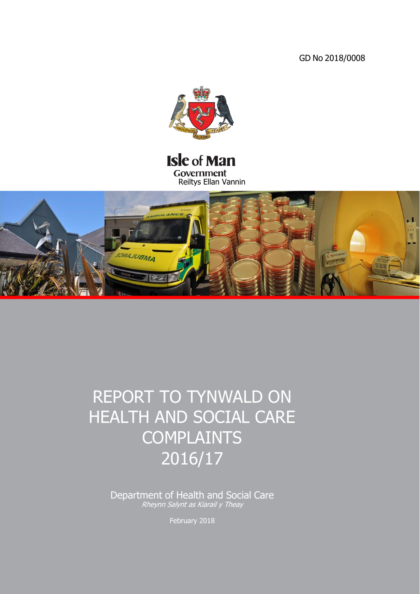GD No 2018/0008



# **Isle of Man** Government Reiltys Ellan Vannin



# REPORT TO TYNWALD ON HEALTH AND SOCIAL CARE **COMPLAINTS** 2016/17

Department of Health and Social Care Rheynn Salynt as Kiarail y Theay

February 2018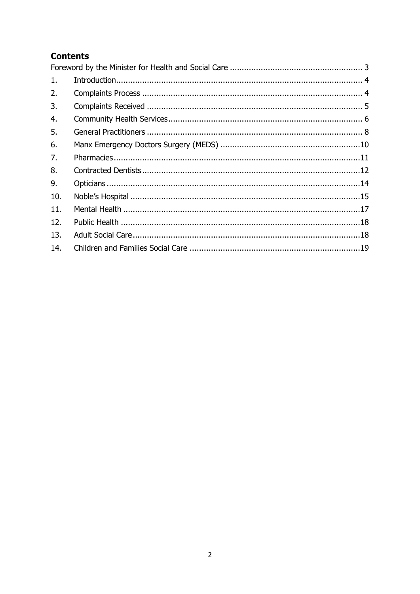# **Contents**

| 1.  |  |
|-----|--|
| 2.  |  |
| 3.  |  |
| 4.  |  |
| 5.  |  |
| 6.  |  |
| 7.  |  |
| 8.  |  |
| 9.  |  |
| 10. |  |
| 11. |  |
| 12. |  |
| 13. |  |
| 14. |  |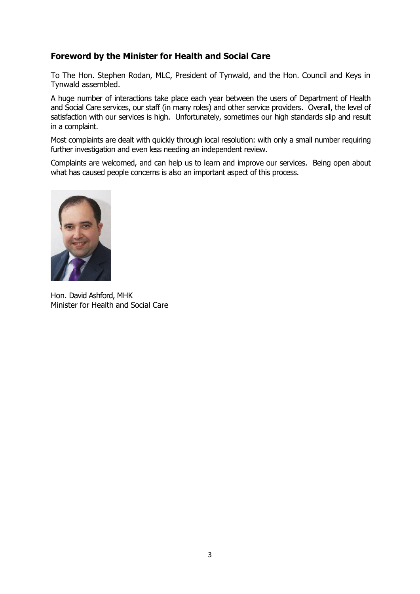### <span id="page-2-0"></span>**Foreword by the Minister for Health and Social Care**

To The Hon. Stephen Rodan, MLC, President of Tynwald, and the Hon. Council and Keys in Tynwald assembled.

A huge number of interactions take place each year between the users of Department of Health and Social Care services, our staff (in many roles) and other service providers. Overall, the level of satisfaction with our services is high. Unfortunately, sometimes our high standards slip and result in a complaint.

Most complaints are dealt with quickly through local resolution: with only a small number requiring further investigation and even less needing an independent review.

Complaints are welcomed, and can help us to learn and improve our services. Being open about what has caused people concerns is also an important aspect of this process.



Hon. David Ashford, MHK Minister for Health and Social Care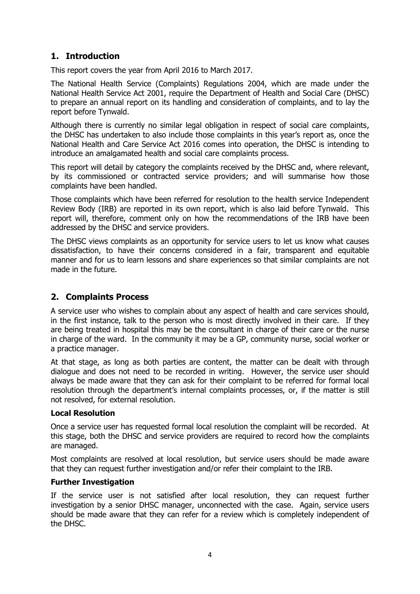# <span id="page-3-0"></span>**1. Introduction**

This report covers the year from April 2016 to March 2017.

The National Health Service (Complaints) Regulations 2004, which are made under the National Health Service Act 2001, require the Department of Health and Social Care (DHSC) to prepare an annual report on its handling and consideration of complaints, and to lay the report before Tynwald.

Although there is currently no similar legal obligation in respect of social care complaints, the DHSC has undertaken to also include those complaints in this year's report as, once the National Health and Care Service Act 2016 comes into operation, the DHSC is intending to introduce an amalgamated health and social care complaints process.

This report will detail by category the complaints received by the DHSC and, where relevant, by its commissioned or contracted service providers; and will summarise how those complaints have been handled.

Those complaints which have been referred for resolution to the health service Independent Review Body (IRB) are reported in its own report, which is also laid before Tynwald. This report will, therefore, comment only on how the recommendations of the IRB have been addressed by the DHSC and service providers.

The DHSC views complaints as an opportunity for service users to let us know what causes dissatisfaction, to have their concerns considered in a fair, transparent and equitable manner and for us to learn lessons and share experiences so that similar complaints are not made in the future.

### <span id="page-3-1"></span>**2. Complaints Process**

A service user who wishes to complain about any aspect of health and care services should, in the first instance, talk to the person who is most directly involved in their care. If they are being treated in hospital this may be the consultant in charge of their care or the nurse in charge of the ward. In the community it may be a GP, community nurse, social worker or a practice manager.

At that stage, as long as both parties are content, the matter can be dealt with through dialogue and does not need to be recorded in writing. However, the service user should always be made aware that they can ask for their complaint to be referred for formal local resolution through the department's internal complaints processes, or, if the matter is still not resolved, for external resolution.

### **Local Resolution**

Once a service user has requested formal local resolution the complaint will be recorded. At this stage, both the DHSC and service providers are required to record how the complaints are managed.

Most complaints are resolved at local resolution, but service users should be made aware that they can request further investigation and/or refer their complaint to the IRB.

### **Further Investigation**

If the service user is not satisfied after local resolution, they can request further investigation by a senior DHSC manager, unconnected with the case. Again, service users should be made aware that they can refer for a review which is completely independent of the DHSC.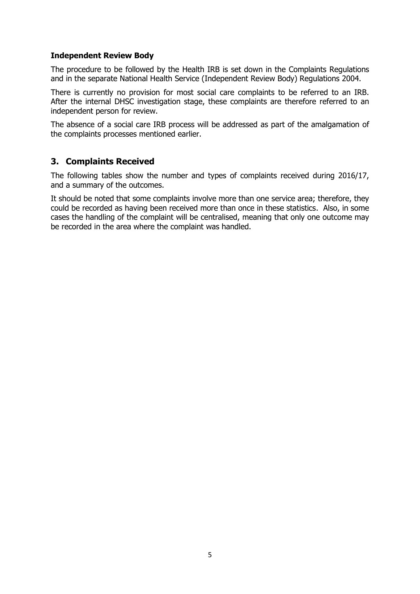### **Independent Review Body**

The procedure to be followed by the Health IRB is set down in the Complaints Regulations and in the separate National Health Service (Independent Review Body) Regulations 2004.

There is currently no provision for most social care complaints to be referred to an IRB. After the internal DHSC investigation stage, these complaints are therefore referred to an independent person for review.

The absence of a social care IRB process will be addressed as part of the amalgamation of the complaints processes mentioned earlier.

### <span id="page-4-0"></span>**3. Complaints Received**

The following tables show the number and types of complaints received during 2016/17, and a summary of the outcomes.

It should be noted that some complaints involve more than one service area; therefore, they could be recorded as having been received more than once in these statistics. Also, in some cases the handling of the complaint will be centralised, meaning that only one outcome may be recorded in the area where the complaint was handled.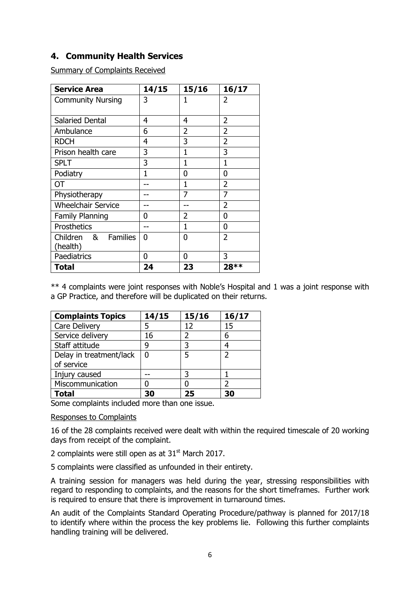### <span id="page-5-0"></span>**4. Community Health Services**

Summary of Complaints Received

| <b>Service Area</b>       | 14/15 | 15/16 | 16/17          |
|---------------------------|-------|-------|----------------|
| <b>Community Nursing</b>  | 3     | 1     | 2              |
|                           |       |       |                |
| Salaried Dental           | 4     | 4     | 2              |
| Ambulance                 | 6     | 2     | $\overline{2}$ |
| <b>RDCH</b>               | 4     | 3     | 2              |
| Prison health care        | 3     | 1     | 3              |
| <b>SPLT</b>               | 3     | 1     | 1              |
| Podiatry                  | 1     | 0     | 0              |
| OТ                        |       | 1     | 2              |
| Physiotherapy             |       | 7     | 7              |
| <b>Wheelchair Service</b> |       |       | 2              |
| <b>Family Planning</b>    | O     | 2     | 0              |
| Prosthetics               |       | 1     | 0              |
| Children<br>& Families    | 0     | 0     | $\overline{2}$ |
| (health)                  |       |       |                |
| Paediatrics               | 0     | 0     | 3              |
| <b>Total</b>              | 24    | 23    | 28 **          |

\*\* 4 complaints were joint responses with Noble's Hospital and 1 was a joint response with a GP Practice, and therefore will be duplicated on their returns.

| <b>Complaints Topics</b> | 14/15 | 15/16 | 16/17 |
|--------------------------|-------|-------|-------|
| <b>Care Delivery</b>     |       | 12    | 15    |
| Service delivery         | 16    |       | 6     |
| Staff attitude           | q     | 3     |       |
| Delay in treatment/lack  | U     | 5     | っ     |
| of service               |       |       |       |
| Injury caused            |       |       |       |
| Miscommunication         |       |       |       |
| <b>Total</b>             | 30    | 25    | 30    |

Some complaints included more than one issue.

### Responses to Complaints

16 of the 28 complaints received were dealt with within the required timescale of 20 working days from receipt of the complaint.

2 complaints were still open as at  $31<sup>st</sup>$  March 2017.

5 complaints were classified as unfounded in their entirety.

A training session for managers was held during the year, stressing responsibilities with regard to responding to complaints, and the reasons for the short timeframes. Further work is required to ensure that there is improvement in turnaround times.

An audit of the Complaints Standard Operating Procedure/pathway is planned for 2017/18 to identify where within the process the key problems lie. Following this further complaints handling training will be delivered.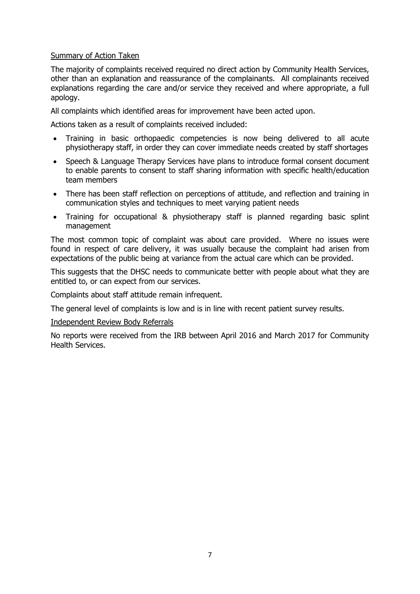### Summary of Action Taken

The majority of complaints received required no direct action by Community Health Services, other than an explanation and reassurance of the complainants. All complainants received explanations regarding the care and/or service they received and where appropriate, a full apology.

All complaints which identified areas for improvement have been acted upon.

Actions taken as a result of complaints received included:

- Training in basic orthopaedic competencies is now being delivered to all acute physiotherapy staff, in order they can cover immediate needs created by staff shortages
- Speech & Language Therapy Services have plans to introduce formal consent document to enable parents to consent to staff sharing information with specific health/education team members
- There has been staff reflection on perceptions of attitude, and reflection and training in communication styles and techniques to meet varying patient needs
- Training for occupational & physiotherapy staff is planned regarding basic splint management

The most common topic of complaint was about care provided. Where no issues were found in respect of care delivery, it was usually because the complaint had arisen from expectations of the public being at variance from the actual care which can be provided.

This suggests that the DHSC needs to communicate better with people about what they are entitled to, or can expect from our services.

Complaints about staff attitude remain infrequent.

The general level of complaints is low and is in line with recent patient survey results.

#### Independent Review Body Referrals

No reports were received from the IRB between April 2016 and March 2017 for Community Health Services.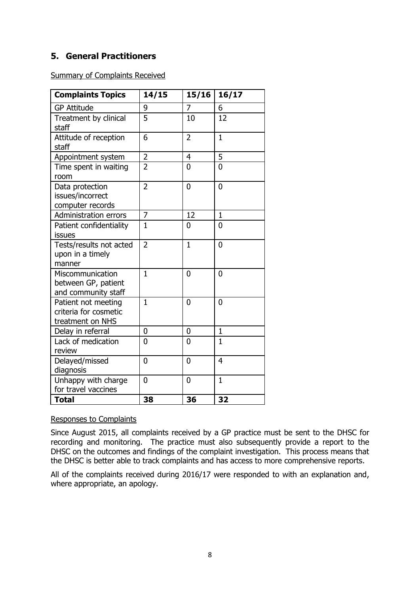# <span id="page-7-0"></span>**5. General Practitioners**

Summary of Complaints Received

| <b>Complaints Topics</b>                                         | 14/15          | 15/16          | 16/17          |
|------------------------------------------------------------------|----------------|----------------|----------------|
| <b>GP Attitude</b>                                               | 9              | 7              | 6              |
| Treatment by clinical<br>staff                                   | 5              | 10             | 12             |
| Attitude of reception<br>staff                                   | 6              | $\overline{2}$ | $\mathbf{1}$   |
| Appointment system                                               | $\overline{2}$ | 4              | 5              |
| Time spent in waiting<br>room                                    | $\overline{2}$ | $\overline{0}$ | $\Omega$       |
| Data protection<br>issues/incorrect<br>computer records          | $\overline{2}$ | $\overline{0}$ | $\overline{0}$ |
| <b>Administration errors</b>                                     | $\overline{7}$ | 12             | $\mathbf{1}$   |
| Patient confidentiality<br>issues                                | $\mathbf{1}$   | 0              | 0              |
| Tests/results not acted<br>upon in a timely<br>manner            | $\overline{2}$ | $\overline{1}$ | $\overline{0}$ |
| Miscommunication<br>between GP, patient<br>and community staff   | $\mathbf{1}$   | $\overline{0}$ | $\overline{0}$ |
| Patient not meeting<br>criteria for cosmetic<br>treatment on NHS | $\mathbf{1}$   | 0              | 0              |
| Delay in referral                                                | 0              | 0              | $\mathbf{1}$   |
| Lack of medication<br>review                                     | $\Omega$       | 0              | $\mathbf{1}$   |
| Delayed/missed<br>diagnosis                                      | $\overline{0}$ | 0              | 4              |
| Unhappy with charge<br>for travel vaccines                       | $\Omega$       | $\overline{0}$ | $\mathbf{1}$   |
| <b>Total</b>                                                     | 38             | 36             | 32             |

### Responses to Complaints

Since August 2015, all complaints received by a GP practice must be sent to the DHSC for recording and monitoring. The practice must also subsequently provide a report to the DHSC on the outcomes and findings of the complaint investigation. This process means that the DHSC is better able to track complaints and has access to more comprehensive reports.

All of the complaints received during 2016/17 were responded to with an explanation and, where appropriate, an apology.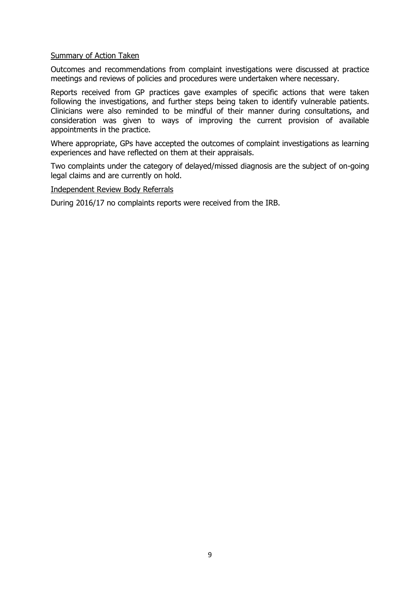### Summary of Action Taken

Outcomes and recommendations from complaint investigations were discussed at practice meetings and reviews of policies and procedures were undertaken where necessary.

Reports received from GP practices gave examples of specific actions that were taken following the investigations, and further steps being taken to identify vulnerable patients. Clinicians were also reminded to be mindful of their manner during consultations, and consideration was given to ways of improving the current provision of available appointments in the practice.

Where appropriate, GPs have accepted the outcomes of complaint investigations as learning experiences and have reflected on them at their appraisals.

Two complaints under the category of delayed/missed diagnosis are the subject of on-going legal claims and are currently on hold.

#### Independent Review Body Referrals

During 2016/17 no complaints reports were received from the IRB.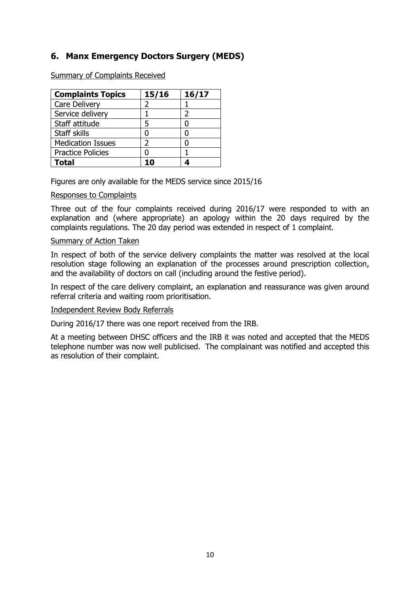# <span id="page-9-0"></span>**6. Manx Emergency Doctors Surgery (MEDS)**

Summary of Complaints Received

| <b>Complaints Topics</b> | 15/16 | 16/17 |
|--------------------------|-------|-------|
| <b>Care Delivery</b>     |       |       |
| Service delivery         |       |       |
| Staff attitude           | 5     |       |
| Staff skills             | ი     |       |
| <b>Medication Issues</b> | 7     |       |
| <b>Practice Policies</b> |       |       |
| Total                    |       |       |

Figures are only available for the MEDS service since 2015/16

### Responses to Complaints

Three out of the four complaints received during 2016/17 were responded to with an explanation and (where appropriate) an apology within the 20 days required by the complaints regulations. The 20 day period was extended in respect of 1 complaint.

#### Summary of Action Taken

In respect of both of the service delivery complaints the matter was resolved at the local resolution stage following an explanation of the processes around prescription collection, and the availability of doctors on call (including around the festive period).

In respect of the care delivery complaint, an explanation and reassurance was given around referral criteria and waiting room prioritisation.

#### Independent Review Body Referrals

During 2016/17 there was one report received from the IRB.

At a meeting between DHSC officers and the IRB it was noted and accepted that the MEDS telephone number was now well publicised. The complainant was notified and accepted this as resolution of their complaint.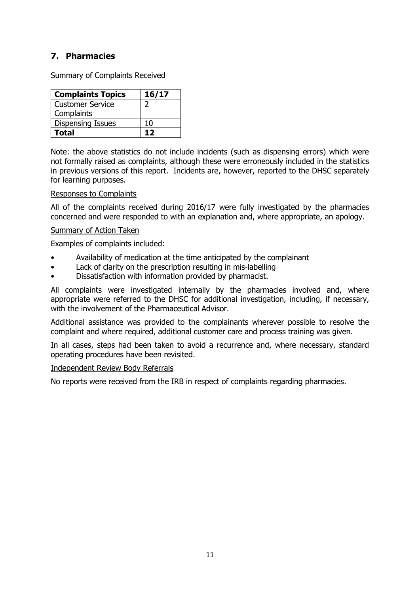# <span id="page-10-0"></span>**7. Pharmacies**

Summary of Complaints Received

| <b>Complaints Topics</b> | 16/17 |
|--------------------------|-------|
| Customer Service         |       |
| Complaints               |       |
| <b>Dispensing Issues</b> | 10    |
| Total                    | 17    |

Note: the above statistics do not include incidents (such as dispensing errors) which were not formally raised as complaints, although these were erroneously included in the statistics in previous versions of this report. Incidents are, however, reported to the DHSC separately for learning purposes.

### Responses to Complaints

All of the complaints received during 2016/17 were fully investigated by the pharmacies concerned and were responded to with an explanation and, where appropriate, an apology.

### Summary of Action Taken

Examples of complaints included:

- Availability of medication at the time anticipated by the complainant
- Lack of clarity on the prescription resulting in mis-labelling
- Dissatisfaction with information provided by pharmacist.

All complaints were investigated internally by the pharmacies involved and, where appropriate were referred to the DHSC for additional investigation, including, if necessary, with the involvement of the Pharmaceutical Advisor.

Additional assistance was provided to the complainants wherever possible to resolve the complaint and where required, additional customer care and process training was given.

In all cases, steps had been taken to avoid a recurrence and, where necessary, standard operating procedures have been revisited.

### Independent Review Body Referrals

No reports were received from the IRB in respect of complaints regarding pharmacies.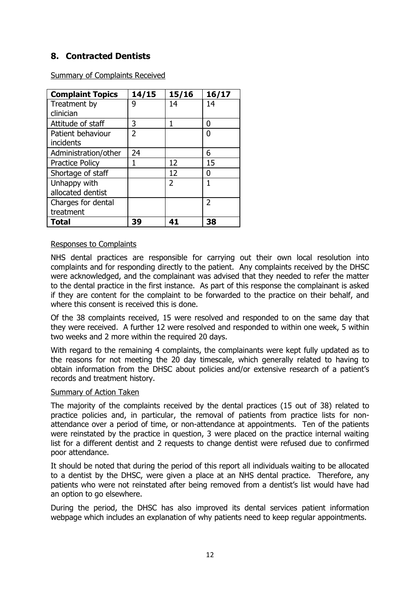# <span id="page-11-0"></span>**8. Contracted Dentists**

Summary of Complaints Received

| <b>Complaint Topics</b> | 14/15 | 15/16 | 16/17 |
|-------------------------|-------|-------|-------|
| Treatment by            | g     | 14    | 14    |
| clinician               |       |       |       |
| Attitude of staff       | 3     |       | O     |
| Patient behaviour       | 2     |       | O     |
| incidents               |       |       |       |
| Administration/other    | 24    |       | 6     |
| <b>Practice Policy</b>  |       | 12    | 15    |
| Shortage of staff       |       | 12    | N     |
| Unhappy with            |       | 2     |       |
| allocated dentist       |       |       |       |
| Charges for dental      |       |       | 2     |
| treatment               |       |       |       |
| <b>Total</b>            | 39    | 41    | 38    |

### Responses to Complaints

NHS dental practices are responsible for carrying out their own local resolution into complaints and for responding directly to the patient. Any complaints received by the DHSC were acknowledged, and the complainant was advised that they needed to refer the matter to the dental practice in the first instance. As part of this response the complainant is asked if they are content for the complaint to be forwarded to the practice on their behalf, and where this consent is received this is done.

Of the 38 complaints received, 15 were resolved and responded to on the same day that they were received. A further 12 were resolved and responded to within one week, 5 within two weeks and 2 more within the required 20 days.

With regard to the remaining 4 complaints, the complainants were kept fully updated as to the reasons for not meeting the 20 day timescale, which generally related to having to obtain information from the DHSC about policies and/or extensive research of a patient's records and treatment history.

### Summary of Action Taken

The majority of the complaints received by the dental practices (15 out of 38) related to practice policies and, in particular, the removal of patients from practice lists for nonattendance over a period of time, or non-attendance at appointments. Ten of the patients were reinstated by the practice in question, 3 were placed on the practice internal waiting list for a different dentist and 2 requests to change dentist were refused due to confirmed poor attendance.

It should be noted that during the period of this report all individuals waiting to be allocated to a dentist by the DHSC, were given a place at an NHS dental practice. Therefore, any patients who were not reinstated after being removed from a dentist's list would have had an option to go elsewhere.

During the period, the DHSC has also improved its dental services patient information webpage which includes an explanation of why patients need to keep regular appointments.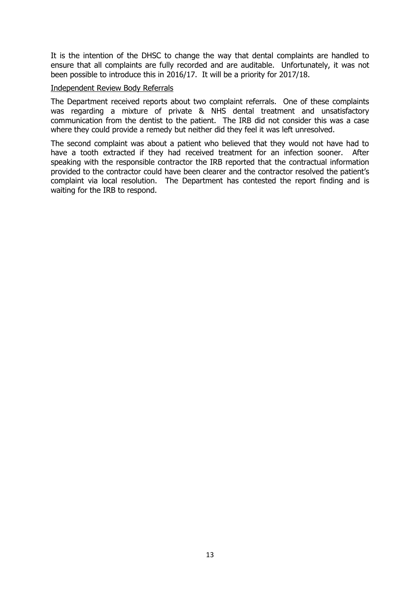It is the intention of the DHSC to change the way that dental complaints are handled to ensure that all complaints are fully recorded and are auditable. Unfortunately, it was not been possible to introduce this in 2016/17. It will be a priority for 2017/18.

### Independent Review Body Referrals

The Department received reports about two complaint referrals. One of these complaints was regarding a mixture of private & NHS dental treatment and unsatisfactory communication from the dentist to the patient. The IRB did not consider this was a case where they could provide a remedy but neither did they feel it was left unresolved.

<span id="page-12-0"></span>The second complaint was about a patient who believed that they would not have had to have a tooth extracted if they had received treatment for an infection sooner. After speaking with the responsible contractor the IRB reported that the contractual information provided to the contractor could have been clearer and the contractor resolved the patient's complaint via local resolution. The Department has contested the report finding and is waiting for the IRB to respond.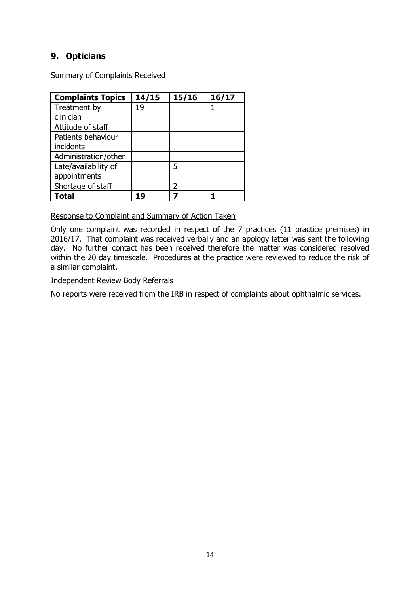# **9. Opticians**

Summary of Complaints Received

| <b>Complaints Topics</b> | 14/15 | 15/16         | 16/17 |
|--------------------------|-------|---------------|-------|
| Treatment by             | 19    |               |       |
| clinician                |       |               |       |
| Attitude of staff        |       |               |       |
| Patients behaviour       |       |               |       |
| incidents                |       |               |       |
| Administration/other     |       |               |       |
| Late/availability of     |       | 5             |       |
| appointments             |       |               |       |
| Shortage of staff        |       | $\mathcal{P}$ |       |
| <b>Total</b>             | 19    |               |       |

Response to Complaint and Summary of Action Taken

Only one complaint was recorded in respect of the 7 practices (11 practice premises) in 2016/17. That complaint was received verbally and an apology letter was sent the following day. No further contact has been received therefore the matter was considered resolved within the 20 day timescale. Procedures at the practice were reviewed to reduce the risk of a similar complaint.

### Independent Review Body Referrals

No reports were received from the IRB in respect of complaints about ophthalmic services.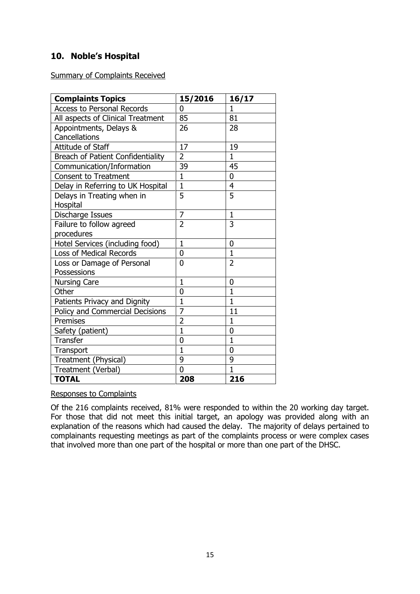# <span id="page-14-0"></span>**10. Noble's Hospital**

Summary of Complaints Received

| <b>Complaints Topics</b>          | 15/2016        | 16/17          |
|-----------------------------------|----------------|----------------|
| <b>Access to Personal Records</b> | 0              | 1              |
| All aspects of Clinical Treatment | 85             | 81             |
| Appointments, Delays &            | 26             | 28             |
| Cancellations                     |                |                |
| Attitude of Staff                 | 17             | 19             |
| Breach of Patient Confidentiality | $\overline{2}$ | $\mathbf{1}$   |
| Communication/Information         | 39             | 45             |
| <b>Consent to Treatment</b>       | $\mathbf{1}$   | 0              |
| Delay in Referring to UK Hospital | $\mathbf{1}$   | $\overline{4}$ |
| Delays in Treating when in        | 5              | 5              |
| Hospital                          |                |                |
| Discharge Issues                  | 7              | 1              |
| Failure to follow agreed          | $\overline{2}$ | 3              |
| procedures                        |                |                |
| Hotel Services (including food)   | $\mathbf{1}$   | $\overline{0}$ |
| <b>Loss of Medical Records</b>    | $\overline{0}$ | $\mathbf{1}$   |
| Loss or Damage of Personal        | $\Omega$       | $\overline{2}$ |
| Possessions                       |                |                |
| <b>Nursing Care</b>               | $\mathbf{1}$   | 0              |
| Other                             | 0              | $\mathbf{1}$   |
| Patients Privacy and Dignity      | $\overline{1}$ | $\mathbf{1}$   |
| Policy and Commercial Decisions   | $\overline{7}$ | 11             |
| Premises                          | $\overline{2}$ | $\mathbf{1}$   |
| Safety (patient)                  | $\overline{1}$ | 0              |
| <b>Transfer</b>                   | $\overline{0}$ | $\overline{1}$ |
| Transport                         | $\mathbf{1}$   | 0              |
| Treatment (Physical)              | 9              | 9              |
| Treatment (Verbal)                | $\overline{0}$ | $\overline{1}$ |
| <b>TOTAL</b>                      | 208            | 216            |

### Responses to Complaints

Of the 216 complaints received, 81% were responded to within the 20 working day target. For those that did not meet this initial target, an apology was provided along with an explanation of the reasons which had caused the delay. The majority of delays pertained to complainants requesting meetings as part of the complaints process or were complex cases that involved more than one part of the hospital or more than one part of the DHSC.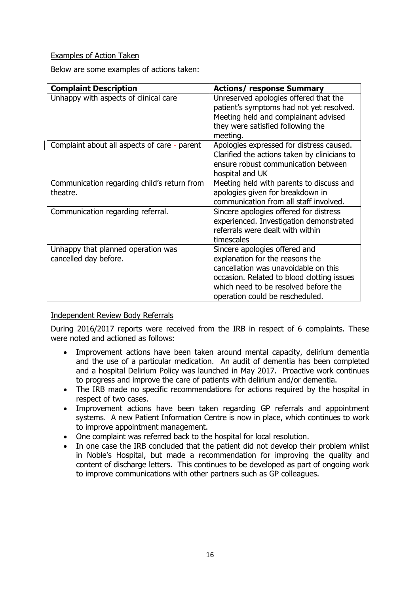### Examples of Action Taken

Below are some examples of actions taken:

| <b>Complaint Description</b>                                | <b>Actions/ response Summary</b>                                                                                                                                                                                                  |
|-------------------------------------------------------------|-----------------------------------------------------------------------------------------------------------------------------------------------------------------------------------------------------------------------------------|
| Unhappy with aspects of clinical care                       | Unreserved apologies offered that the<br>patient's symptoms had not yet resolved.<br>Meeting held and complainant advised<br>they were satisfied following the<br>meeting.                                                        |
| Complaint about all aspects of care - parent                | Apologies expressed for distress caused.<br>Clarified the actions taken by clinicians to<br>ensure robust communication between<br>hospital and UK                                                                                |
| Communication regarding child's return from<br>theatre.     | Meeting held with parents to discuss and<br>apologies given for breakdown in<br>communication from all staff involved.                                                                                                            |
| Communication regarding referral.                           | Sincere apologies offered for distress<br>experienced. Investigation demonstrated<br>referrals were dealt with within<br>timescales                                                                                               |
| Unhappy that planned operation was<br>cancelled day before. | Sincere apologies offered and<br>explanation for the reasons the<br>cancellation was unavoidable on this<br>occasion. Related to blood clotting issues<br>which need to be resolved before the<br>operation could be rescheduled. |

### Independent Review Body Referrals

During 2016/2017 reports were received from the IRB in respect of 6 complaints. These were noted and actioned as follows:

- Improvement actions have been taken around mental capacity, delirium dementia and the use of a particular medication. An audit of dementia has been completed and a hospital Delirium Policy was launched in May 2017. Proactive work continues to progress and improve the care of patients with delirium and/or dementia.
- The IRB made no specific recommendations for actions required by the hospital in respect of two cases.
- Improvement actions have been taken regarding GP referrals and appointment systems. A new Patient Information Centre is now in place, which continues to work to improve appointment management.
- One complaint was referred back to the hospital for local resolution.
- In one case the IRB concluded that the patient did not develop their problem whilst in Noble's Hospital, but made a recommendation for improving the quality and content of discharge letters. This continues to be developed as part of ongoing work to improve communications with other partners such as GP colleagues.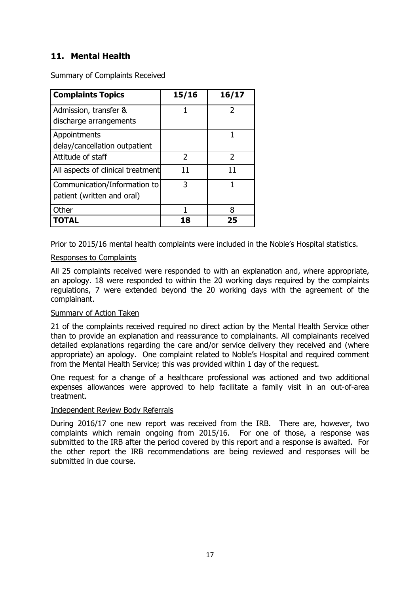### <span id="page-16-0"></span>**11. Mental Health**

Summary of Complaints Received

| <b>Complaints Topics</b>                                   | 15/16         | 16/17         |
|------------------------------------------------------------|---------------|---------------|
| Admission, transfer &<br>discharge arrangements            |               | 2             |
| Appointments<br>delay/cancellation outpatient              |               | 1             |
| Attitude of staff                                          | $\mathcal{L}$ | $\mathcal{P}$ |
| All aspects of clinical treatment                          | 11            | 11            |
| Communication/Information to<br>patient (written and oral) | 3             | 1             |
| Other                                                      |               | 8             |
| TOTAL                                                      | 18            | 25            |

Prior to 2015/16 mental health complaints were included in the Noble's Hospital statistics.

### Responses to Complaints

All 25 complaints received were responded to with an explanation and, where appropriate, an apology. 18 were responded to within the 20 working days required by the complaints regulations, 7 were extended beyond the 20 working days with the agreement of the complainant.

### Summary of Action Taken

21 of the complaints received required no direct action by the Mental Health Service other than to provide an explanation and reassurance to complainants. All complainants received detailed explanations regarding the care and/or service delivery they received and (where appropriate) an apology. One complaint related to Noble's Hospital and required comment from the Mental Health Service; this was provided within 1 day of the request.

One request for a change of a healthcare professional was actioned and two additional expenses allowances were approved to help facilitate a family visit in an out-of-area treatment.

### Independent Review Body Referrals

<span id="page-16-1"></span>During 2016/17 one new report was received from the IRB. There are, however, two complaints which remain ongoing from 2015/16. For one of those, a response was submitted to the IRB after the period covered by this report and a response is awaited. For the other report the IRB recommendations are being reviewed and responses will be submitted in due course.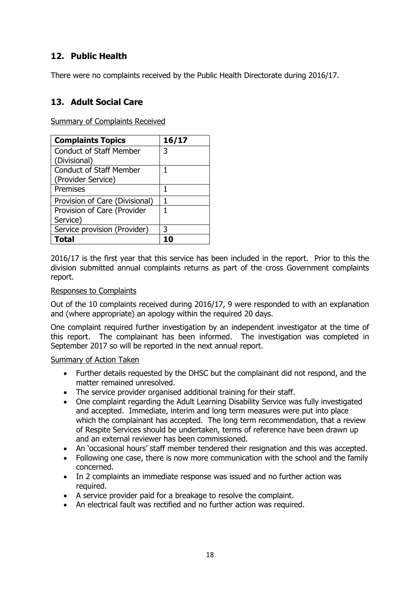# **12. Public Health**

There were no complaints received by the Public Health Directorate during 2016/17.

### <span id="page-17-0"></span>**13. Adult Social Care**

Summary of Complaints Received

| <b>Complaints Topics</b>       | 16/17 |
|--------------------------------|-------|
| <b>Conduct of Staff Member</b> | 3     |
| (Divisional)                   |       |
| <b>Conduct of Staff Member</b> | 1     |
| (Provider Service)             |       |
| Premises                       | 1     |
| Provision of Care (Divisional) |       |
| Provision of Care (Provider    | 1     |
| Service)                       |       |
| Service provision (Provider)   | 3     |
| Total                          |       |

2016/17 is the first year that this service has been included in the report. Prior to this the division submitted annual complaints returns as part of the cross Government complaints report.

### Responses to Complaints

Out of the 10 complaints received during 2016/17, 9 were responded to with an explanation and (where appropriate) an apology within the required 20 days.

One complaint required further investigation by an independent investigator at the time of this report. The complainant has been informed. The investigation was completed in September 2017 so will be reported in the next annual report.

### Summary of Action Taken

- Further details requested by the DHSC but the complainant did not respond, and the matter remained unresolved.
- The service provider organised additional training for their staff.
- One complaint regarding the Adult Learning Disability Service was fully investigated and accepted. Immediate, interim and long term measures were put into place which the complainant has accepted. The long term recommendation, that a review of Respite Services should be undertaken, terms of reference have been drawn up and an external reviewer has been commissioned.
- An 'occasional hours' staff member tendered their resignation and this was accepted.
- Following one case, there is now more communication with the school and the family concerned.
- In 2 complaints an immediate response was issued and no further action was required.
- A service provider paid for a breakage to resolve the complaint.
- An electrical fault was rectified and no further action was required.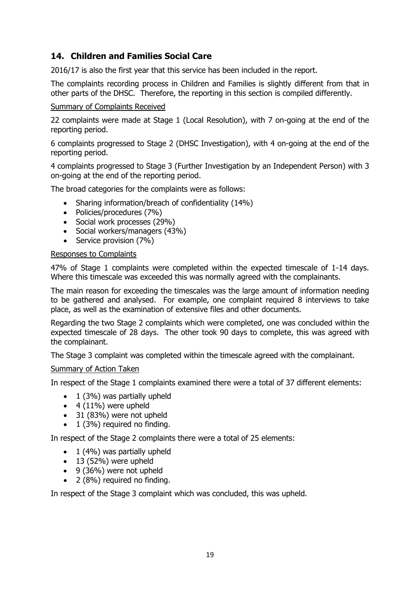# <span id="page-18-0"></span>**14. Children and Families Social Care**

2016/17 is also the first year that this service has been included in the report.

The complaints recording process in Children and Families is slightly different from that in other parts of the DHSC. Therefore, the reporting in this section is compiled differently.

### Summary of Complaints Received

22 complaints were made at Stage 1 (Local Resolution), with 7 on-going at the end of the reporting period.

6 complaints progressed to Stage 2 (DHSC Investigation), with 4 on-going at the end of the reporting period.

4 complaints progressed to Stage 3 (Further Investigation by an Independent Person) with 3 on-going at the end of the reporting period.

The broad categories for the complaints were as follows:

- Sharing information/breach of confidentiality (14%)
- Policies/procedures (7%)
- Social work processes (29%)
- Social workers/managers (43%)
- Service provision (7%)

### Responses to Complaints

47% of Stage 1 complaints were completed within the expected timescale of 1-14 days. Where this timescale was exceeded this was normally agreed with the complainants.

The main reason for exceeding the timescales was the large amount of information needing to be gathered and analysed. For example, one complaint required 8 interviews to take place, as well as the examination of extensive files and other documents.

Regarding the two Stage 2 complaints which were completed, one was concluded within the expected timescale of 28 days. The other took 90 days to complete, this was agreed with the complainant.

The Stage 3 complaint was completed within the timescale agreed with the complainant.

### Summary of Action Taken

In respect of the Stage 1 complaints examined there were a total of 37 different elements:

- $\bullet$  1 (3%) was partially upheld
- $\bullet$  4 (11%) were upheld
- 31 (83%) were not upheld
- $\bullet$  1 (3%) required no finding.

In respect of the Stage 2 complaints there were a total of 25 elements:

- $\bullet$  1 (4%) was partially upheld
- $\bullet$  13 (52%) were upheld
- 9 (36%) were not upheld
- 2 (8%) required no finding.

In respect of the Stage 3 complaint which was concluded, this was upheld.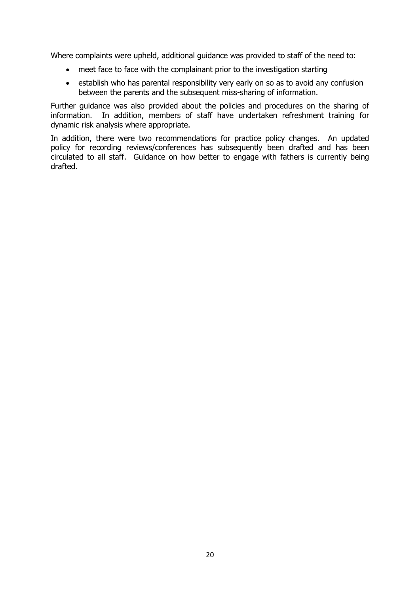Where complaints were upheld, additional guidance was provided to staff of the need to:

- meet face to face with the complainant prior to the investigation starting
- establish who has parental responsibility very early on so as to avoid any confusion between the parents and the subsequent miss-sharing of information.

Further guidance was also provided about the policies and procedures on the sharing of information. In addition, members of staff have undertaken refreshment training for dynamic risk analysis where appropriate.

In addition, there were two recommendations for practice policy changes. An updated policy for recording reviews/conferences has subsequently been drafted and has been circulated to all staff. Guidance on how better to engage with fathers is currently being drafted.